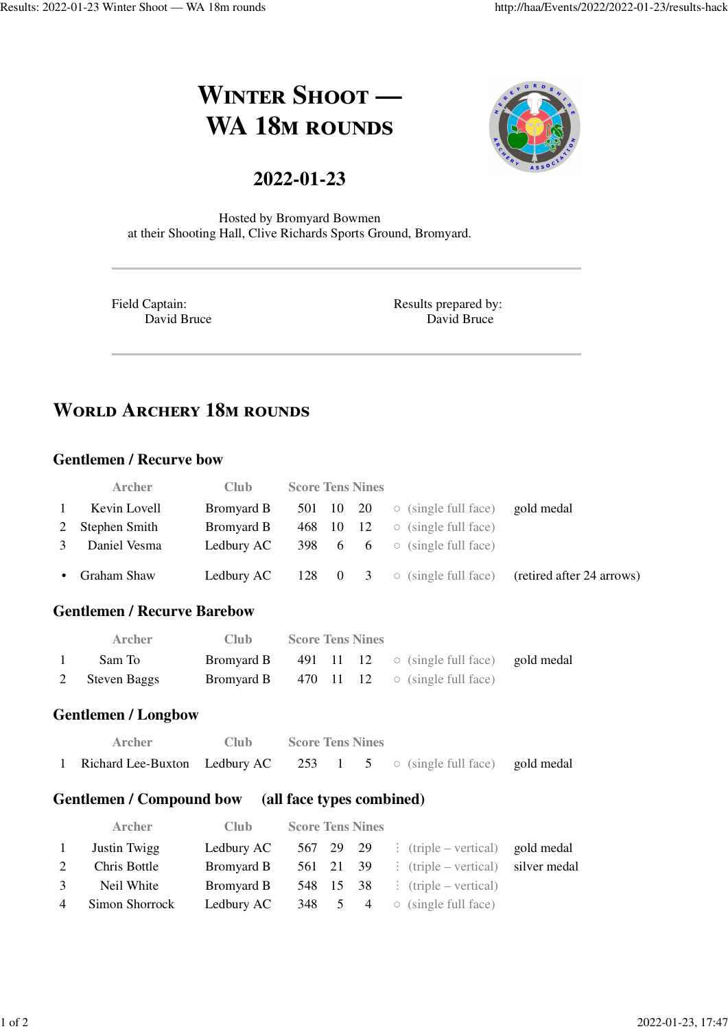# **WINTER SHOOT** — **WA 18M ROUNDS**

### **2022-01-23**



Hosted by Bromyard Bowmen at their Shooting Hall, Clive Richards Sports Ground, Bromyard.

Field Captain: David Bruce Results prepared by: David Bruce

## **WORLD ARCHERY 18M ROUNDS**

#### **Gentlemen / Recurve bow**

|              | <b>Archer</b>   | <b>Club</b> | <b>Score Tens Nines</b> |  |                                                      |                           |
|--------------|-----------------|-------------|-------------------------|--|------------------------------------------------------|---------------------------|
| $\mathbf{1}$ | Kevin Lovell    | Bromyard B  |                         |  | 501 10 20 $\circ$ (single full face)                 | gold medal                |
|              | 2 Stephen Smith | Bromyard B  | 468 10 12               |  | $\circ$ (single full face)                           |                           |
| 3            | Daniel Vesma    | Ledbury AC  |                         |  | 398 $\,$ 6 $\,$ 6 $\,$ $\circ$ (single full face)    |                           |
|              | • Graham Shaw   |             |                         |  | <b>Ledbury AC</b> 128 0 3 $\circ$ (single full face) | (retired after 24 arrows) |

#### **Gentlemen / Recurve Barebow**

| <b>Archer</b>  | - Club - | <b>Score Tens Nines</b> |  |                                                                   |  |
|----------------|----------|-------------------------|--|-------------------------------------------------------------------|--|
| Sam To         |          |                         |  | <b>Bromyard B</b> 491 11 12 $\circ$ (single full face) gold medal |  |
| 2 Steven Baggs |          |                         |  | <b>Bromyard B</b> 470 11 12 $\circ$ (single full face)            |  |

#### **Gentlemen / Longbow**

| Archer                                                                        | Club — | <b>Score Tens Nines</b> |  |  |
|-------------------------------------------------------------------------------|--------|-------------------------|--|--|
| 1 Richard Lee-Buxton Ledbury AC 253 1 5 $\circ$ (single full face) gold medal |        |                         |  |  |

#### **Gentlemen / Compound bow (all face types combined)**

|                | <b>Archer</b>  | <b>Club</b> | <b>Score Tens Nines</b> |           |                                                          |  |
|----------------|----------------|-------------|-------------------------|-----------|----------------------------------------------------------|--|
| 1              | Justin Twigg   | Ledbury AC  |                         |           | 567 29 29 : $(\text{triple}-\text{vertical})$ gold medal |  |
| 2              | Chris Bottle   | Bromyard B  |                         | 561 21 39 | $\vdots$ (triple – vertical) silver medal                |  |
| 3              | Neil White     | Bromyard B  |                         |           | 548 15 38 : $(triple - vertical)$                        |  |
| $\overline{4}$ | Simon Shorrock |             |                         |           | <b>Ledbury AC</b> 348 5 4 $\circ$ (single full face)     |  |